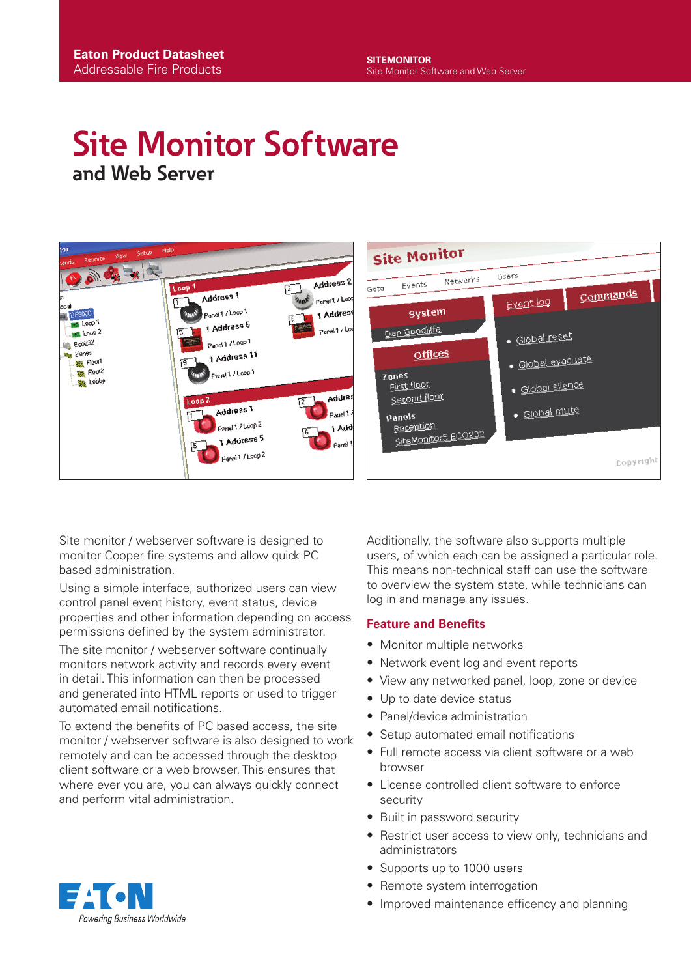# **Site Monitor Software and Web Server**



Site monitor / webserver software is designed to monitor Cooper fire systems and allow quick PC based administration.

Using a simple interface, authorized users can view control panel event history, event status, device properties and other information depending on access permissions defined by the system administrator.

The site monitor / webserver software continually monitors network activity and records every event in detail. This information can then be processed and generated into HTML reports or used to trigger automated email notifications.

To extend the benefits of PC based access, the site monitor / webserver software is also designed to work remotely and can be accessed through the desktop client software or a web browser. This ensures that where ever you are, you can always quickly connect and perform vital administration.

Additionally, the software also supports multiple users, of which each can be assigned a particular role. This means non-technical staff can use the software to overview the system state, while technicians can log in and manage any issues.

#### **Feature and Benefits**

- Monitor multiple networks
- Network event log and event reports
- View any networked panel, loop, zone or device
- Up to date device status
- Panel/device administration
- Setup automated email notifications
- Full remote access via client software or a web browser
- License controlled client software to enforce security
- Built in password security
- Restrict user access to view only, technicians and administrators
- Supports up to 1000 users
- Remote system interrogation
- Improved maintenance efficency and planning

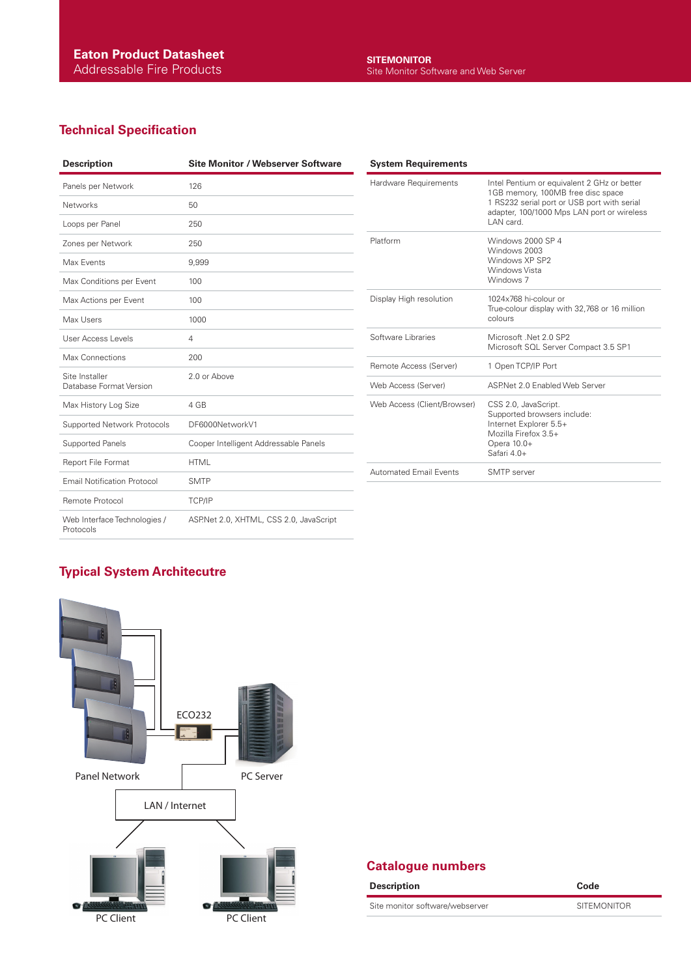## **Technical Specification**

| <b>Description</b>                        | <b>Site Monitor / Webserver Software</b> |
|-------------------------------------------|------------------------------------------|
| Panels per Network                        | 126                                      |
| <b>Networks</b>                           | 50                                       |
| Loops per Panel                           | 250                                      |
| Zones per Network                         | 250                                      |
| Max Events                                | 9,999                                    |
| Max Conditions per Event                  | 100                                      |
| Max Actions per Event                     | 100                                      |
| Max Users                                 | 1000                                     |
| User Access Levels                        | 4                                        |
| Max Connections                           | 200                                      |
| Site Installer<br>Database Format Version | 2.0 or Above                             |
| Max History Log Size                      | 4 GB                                     |
| Supported Network Protocols               | DF6000NetworkV1                          |
| <b>Supported Panels</b>                   | Cooper Intelligent Addressable Panels    |
| Report File Format                        | <b>HTML</b>                              |
| <b>Email Notification Protocol</b>        | <b>SMTP</b>                              |
| Remote Protocol                           | TCP/IP                                   |
| Web Interface Technologies /<br>Protocols | ASP.Net 2.0, XHTML, CSS 2.0, JavaScript  |

| <b>System Requirements</b>    |                                                                                                                                                                                            |
|-------------------------------|--------------------------------------------------------------------------------------------------------------------------------------------------------------------------------------------|
| Hardware Requirements         | Intel Pentium or equivalent 2 GHz or better<br>1GB memory, 100MB free disc space<br>1 RS232 serial port or USB port with serial<br>adapter, 100/1000 Mps LAN port or wireless<br>LAN card. |
| Platform                      | Windows 2000 SP 4<br>Windows 2003<br>Windows XP SP2<br>Windows Vista<br>Windows 7                                                                                                          |
| Display High resolution       | 1024x768 hi-colour or<br>True-colour display with 32,768 or 16 million<br>colours                                                                                                          |
| Software Libraries            | Microsoft .Net 2.0 SP2<br>Microsoft SQL Server Compact 3.5 SP1                                                                                                                             |
| Remote Access (Server)        | 1 Open TCP/IP Port                                                                                                                                                                         |
| Web Access (Server)           | ASPNet 2.0 Fnabled Web Server                                                                                                                                                              |
| Web Access (Client/Browser)   | CSS 2.0, JavaScript.<br>Supported browsers include:<br>Internet Explorer 5.5+<br>Mozilla Firefox 3.5+<br>Opera 10.0+<br>Safari 4.0+                                                        |
| <b>Automated Email Events</b> | SMTP server                                                                                                                                                                                |

### **Typical System Architecutre**



#### **Catalogue numbers**

| <b>Description</b>              | Code               |
|---------------------------------|--------------------|
| Site monitor software/webserver | <b>SITEMONITOR</b> |